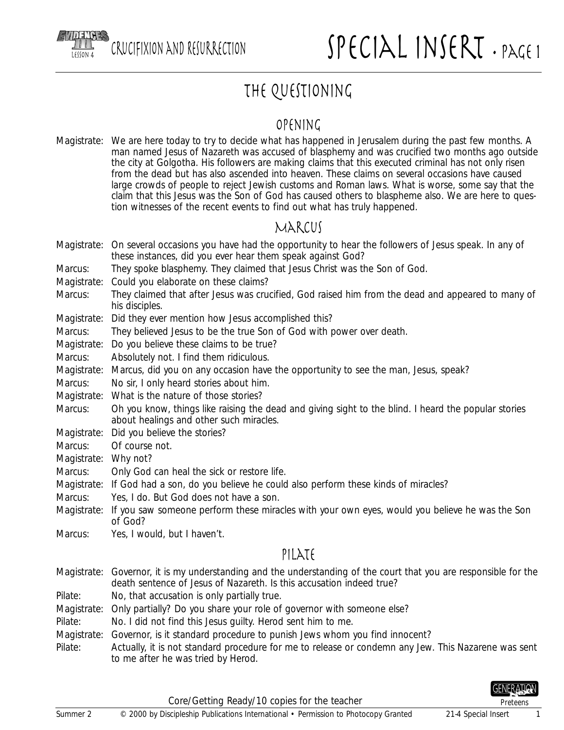# The Questioning

### Opening

Magistrate: We are here today to try to decide what has happened in Jerusalem during the past few months. A man named Jesus of Nazareth was accused of blasphemy and was crucified two months ago outside the city at Golgotha. His followers are making claims that this executed criminal has not only risen from the dead but has also ascended into heaven. These claims on several occasions have caused large crowds of people to reject Jewish customs and Roman laws. What is worse, some say that the claim that this Jesus was the Son of God has caused others to blaspheme also. We are here to question witnesses of the recent events to find out what has truly happened.

### Marcus

- Magistrate: On several occasions you have had the opportunity to hear the followers of Jesus speak. In any of these instances, did you ever hear them speak against God?
- Marcus: They spoke blasphemy. They claimed that Jesus Christ was the Son of God.
- Magistrate: Could you elaborate on these claims?
- Marcus: They claimed that after Jesus was crucified, God raised him from the dead and appeared to many of his disciples.
- Magistrate: Did they ever mention how Jesus accomplished this?
- Marcus: They believed Jesus to be the true Son of God with power over death.
- Magistrate: Do you believe these claims to be true?
- Marcus: Absolutely not. I find them ridiculous.
- Magistrate: Marcus, did you on any occasion have the opportunity to see the man, Jesus, speak?
- Marcus: No sir, I only heard stories about him.
- Magistrate: What is the nature of those stories?
- Marcus: Oh you know, things like raising the dead and giving sight to the blind. I heard the popular stories about healings and other such miracles.
- Magistrate: Did you believe the stories?
- Marcus: Of course not.
- Magistrate: Why not?
- Marcus: Only God can heal the sick or restore life.
- Magistrate: If God had a son, do you believe he could also perform these kinds of miracles?
- Marcus: Yes, I do. But God does not have a son.
- Magistrate: If you saw someone perform these miracles with your own eyes, would you believe he was the Son of God?
- Marcus: Yes, I would, but I haven't.

### Pilate

- Magistrate: Governor, it is my understanding and the understanding of the court that you are responsible for the death sentence of Jesus of Nazareth. Is this accusation indeed true? Pilate: No, that accusation is only partially true. Magistrate: Only partially? Do you share your role of governor with someone else?
- Pilate: No. I did not find this Jesus guilty. Herod sent him to me.
- Magistrate: Governor, is it standard procedure to punish Jews whom you find innocent?
- Pilate: Actually, it is not standard procedure for me to release or condemn any Jew. This Nazarene was sent to me after he was tried by Herod.

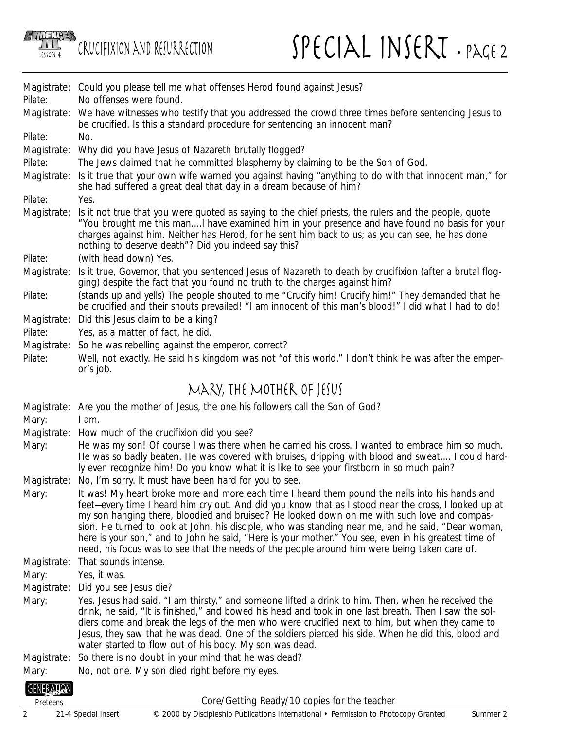n n

# $\frac{1}{2}$  CRUCIFIXION AND RESURRECTION SPECIAL INSERT • PAGE 2

|             | Magistrate: Could you please tell me what offenses Herod found against Jesus?                                                                                                                                                                                                                                                                                   |
|-------------|-----------------------------------------------------------------------------------------------------------------------------------------------------------------------------------------------------------------------------------------------------------------------------------------------------------------------------------------------------------------|
| Pilate:     | No offenses were found.                                                                                                                                                                                                                                                                                                                                         |
| Magistrate: | We have witnesses who testify that you addressed the crowd three times before sentencing Jesus to<br>be crucified. Is this a standard procedure for sentencing an innocent man?                                                                                                                                                                                 |
| Pilate:     | No.                                                                                                                                                                                                                                                                                                                                                             |
| Magistrate: | Why did you have Jesus of Nazareth brutally flogged?                                                                                                                                                                                                                                                                                                            |
| Pilate:     | The Jews claimed that he committed blasphemy by claiming to be the Son of God.                                                                                                                                                                                                                                                                                  |
| Magistrate: | Is it true that your own wife warned you against having "anything to do with that innocent man," for<br>she had suffered a great deal that day in a dream because of him?                                                                                                                                                                                       |
| Pilate:     | Yes.                                                                                                                                                                                                                                                                                                                                                            |
| Magistrate: | Is it not true that you were quoted as saying to the chief priests, the rulers and the people, quote<br>"You brought me this manI have examined him in your presence and have found no basis for your<br>charges against him. Neither has Herod, for he sent him back to us; as you can see, he has done<br>nothing to deserve death"? Did you indeed say this? |
| Pilate:     | (with head down) Yes.                                                                                                                                                                                                                                                                                                                                           |
| Magistrate: | Is it true, Governor, that you sentenced Jesus of Nazareth to death by crucifixion (after a brutal flog-<br>ging) despite the fact that you found no truth to the charges against him?                                                                                                                                                                          |
| Pilate:     | (stands up and yells) The people shouted to me "Crucify him! Crucify him!" They demanded that he<br>be crucified and their shouts prevailed! "I am innocent of this man's blood!" I did what I had to do!                                                                                                                                                       |
| Magistrate: | Did this Jesus claim to be a king?                                                                                                                                                                                                                                                                                                                              |
| Pilate:     | Yes, as a matter of fact, he did.                                                                                                                                                                                                                                                                                                                               |
| Magistrate: | So he was rebelling against the emperor, correct?                                                                                                                                                                                                                                                                                                               |
| Pilate:     | Well, not exactly. He said his kingdom was not "of this world." I don't think he was after the emper-<br>or's job.                                                                                                                                                                                                                                              |
|             | MARY, THE MOTHER OF JESUS                                                                                                                                                                                                                                                                                                                                       |
| Magistrate: | Are you the mother of Jesus, the one his followers call the Son of God?                                                                                                                                                                                                                                                                                         |
| Mary:       | I am.                                                                                                                                                                                                                                                                                                                                                           |
|             | Magistrate: How much of the crucifixion did you see?                                                                                                                                                                                                                                                                                                            |
| Mary:       | He was my son! Of course I was there when he carried his cross. I wanted to embrace him so much.<br>He was so badly beaten. He was covered with bruises, dripping with blood and sweat I could hard-<br>ly even recognize him! Do you know what it is like to see your firstborn in so much pain?                                                               |
| Magistrate: | No, I'm sorry. It must have been hard for you to see.                                                                                                                                                                                                                                                                                                           |
| Marve       | It was I My beart broke more and more each time I beard them nound the nails into his hands and                                                                                                                                                                                                                                                                 |

- Mary: It was! My heart broke more and more each time I heard them pound the feet—every time I heard him cry out. And did you know that as I stood near the cross, I looked up at my son hanging there, bloodied and bruised? He looked down on me with such love and compassion. He turned to look at John, his disciple, who was standing near me, and he said, "Dear woman, here is your son," and to John he said, "Here is your mother." You see, even in his greatest time of need, his focus was to see that the needs of the people around him were being taken care of.
- Magistrate: That sounds intense.
- Mary: Yes, it was.
- Magistrate: Did you see Jesus die?
- Mary: Yes. Jesus had said, "I am thirsty," and someone lifted a drink to him. Then, when he received the drink, he said, "It is finished," and bowed his head and took in one last breath. Then I saw the soldiers come and break the legs of the men who were crucified next to him, but when they came to Jesus, they saw that he was dead. One of the soldiers pierced his side. When he did this, blood and water started to flow out of his body. My son was dead. Magistrate: So there is no doubt in your mind that he was dead?
- 

Mary: No, not one. My son died right before my eyes.

#### GENERATION Preteens

#### Core/Getting Ready/10 copies for the teacher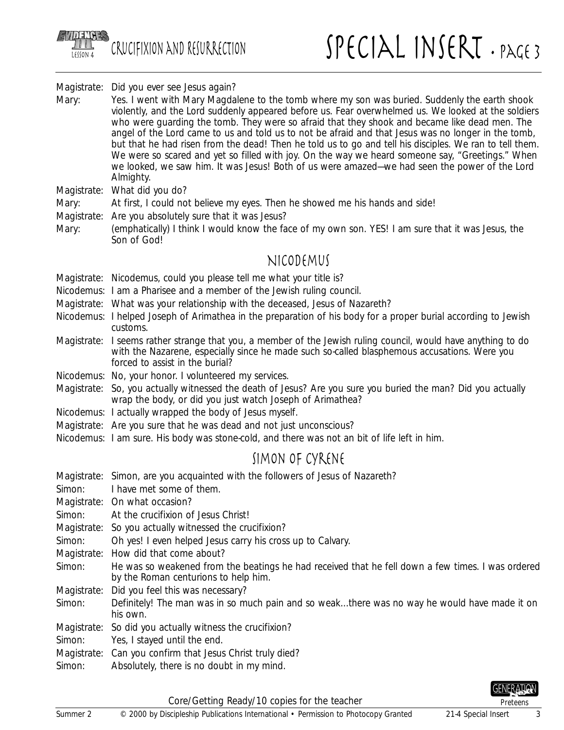#### **SERTELINE ZITTE CRUCIFIXION AND RESURRECTION**

|                      | Magistrate: Did you ever see Jesus again?                                                                                                                                                                                                                                                                                                                                                                                                                                                                                                                                                                                                                                                                                                 |
|----------------------|-------------------------------------------------------------------------------------------------------------------------------------------------------------------------------------------------------------------------------------------------------------------------------------------------------------------------------------------------------------------------------------------------------------------------------------------------------------------------------------------------------------------------------------------------------------------------------------------------------------------------------------------------------------------------------------------------------------------------------------------|
| Mary:                | Yes. I went with Mary Magdalene to the tomb where my son was buried. Suddenly the earth shook<br>violently, and the Lord suddenly appeared before us. Fear overwhelmed us. We looked at the soldiers<br>who were guarding the tomb. They were so afraid that they shook and became like dead men. The<br>angel of the Lord came to us and told us to not be afraid and that Jesus was no longer in the tomb,<br>but that he had risen from the dead! Then he told us to go and tell his disciples. We ran to tell them.<br>We were so scared and yet so filled with joy. On the way we heard someone say, "Greetings." When<br>we looked, we saw him. It was Jesus! Both of us were amazed—we had seen the power of the Lord<br>Almighty. |
| Magistrate:<br>Mary: | What did you do?<br>At first, I could not believe my eyes. Then he showed me his hands and side!                                                                                                                                                                                                                                                                                                                                                                                                                                                                                                                                                                                                                                          |
| Magistrate:          | Are you absolutely sure that it was Jesus?                                                                                                                                                                                                                                                                                                                                                                                                                                                                                                                                                                                                                                                                                                |
| Mary:                | (emphatically) I think I would know the face of my own son. YES! I am sure that it was Jesus, the<br>Son of God!                                                                                                                                                                                                                                                                                                                                                                                                                                                                                                                                                                                                                          |
|                      | NICODEMUS                                                                                                                                                                                                                                                                                                                                                                                                                                                                                                                                                                                                                                                                                                                                 |
|                      | Magistrate: Nicodemus, could you please tell me what your title is?                                                                                                                                                                                                                                                                                                                                                                                                                                                                                                                                                                                                                                                                       |
|                      | Nicodemus: I am a Pharisee and a member of the Jewish ruling council.                                                                                                                                                                                                                                                                                                                                                                                                                                                                                                                                                                                                                                                                     |
|                      | Magistrate: What was your relationship with the deceased, Jesus of Nazareth?                                                                                                                                                                                                                                                                                                                                                                                                                                                                                                                                                                                                                                                              |
|                      | Nicodemus: I helped Joseph of Arimathea in the preparation of his body for a proper burial according to Jewish<br>customs.                                                                                                                                                                                                                                                                                                                                                                                                                                                                                                                                                                                                                |
| Magistrate:          | I seems rather strange that you, a member of the Jewish ruling council, would have anything to do<br>with the Nazarene, especially since he made such so-called blasphemous accusations. Were you<br>forced to assist in the burial?                                                                                                                                                                                                                                                                                                                                                                                                                                                                                                      |
|                      | Nicodemus: No, your honor. I volunteered my services.                                                                                                                                                                                                                                                                                                                                                                                                                                                                                                                                                                                                                                                                                     |
| Magistrate:          | So, you actually witnessed the death of Jesus? Are you sure you buried the man? Did you actually<br>wrap the body, or did you just watch Joseph of Arimathea?                                                                                                                                                                                                                                                                                                                                                                                                                                                                                                                                                                             |
|                      | Nicodemus: I actually wrapped the body of Jesus myself.                                                                                                                                                                                                                                                                                                                                                                                                                                                                                                                                                                                                                                                                                   |
|                      | Magistrate: Are you sure that he was dead and not just unconscious?                                                                                                                                                                                                                                                                                                                                                                                                                                                                                                                                                                                                                                                                       |
|                      | Nicodemus: I am sure. His body was stone-cold, and there was not an bit of life left in him.                                                                                                                                                                                                                                                                                                                                                                                                                                                                                                                                                                                                                                              |
|                      | SIMON OF CYRENE                                                                                                                                                                                                                                                                                                                                                                                                                                                                                                                                                                                                                                                                                                                           |
| Magistrate:          | Simon, are you acquainted with the followers of Jesus of Nazareth?                                                                                                                                                                                                                                                                                                                                                                                                                                                                                                                                                                                                                                                                        |
| Simon:               | I have met some of them.                                                                                                                                                                                                                                                                                                                                                                                                                                                                                                                                                                                                                                                                                                                  |
|                      | Magistrate: On what occasion?                                                                                                                                                                                                                                                                                                                                                                                                                                                                                                                                                                                                                                                                                                             |
| Simon:               | At the crucifixion of Jesus Christ!                                                                                                                                                                                                                                                                                                                                                                                                                                                                                                                                                                                                                                                                                                       |
| Magistrate:          | So you actually witnessed the crucifixion?                                                                                                                                                                                                                                                                                                                                                                                                                                                                                                                                                                                                                                                                                                |
| Simon:               | Oh yes! I even helped Jesus carry his cross up to Calvary.                                                                                                                                                                                                                                                                                                                                                                                                                                                                                                                                                                                                                                                                                |
| Magistrate:          | How did that come about?                                                                                                                                                                                                                                                                                                                                                                                                                                                                                                                                                                                                                                                                                                                  |
| Simon:               | He was so weakened from the beatings he had received that he fell down a few times. I was ordered<br>by the Roman centurions to help him.                                                                                                                                                                                                                                                                                                                                                                                                                                                                                                                                                                                                 |
| Magistrate:          | Did you feel this was necessary?                                                                                                                                                                                                                                                                                                                                                                                                                                                                                                                                                                                                                                                                                                          |
| Simon:               | Definitely! The man was in so much pain and so weakthere was no way he would have made it on<br>his own.                                                                                                                                                                                                                                                                                                                                                                                                                                                                                                                                                                                                                                  |
| Magistrate:          | So did you actually witness the crucifixion?                                                                                                                                                                                                                                                                                                                                                                                                                                                                                                                                                                                                                                                                                              |
| Simon:               | Yes, I stayed until the end.                                                                                                                                                                                                                                                                                                                                                                                                                                                                                                                                                                                                                                                                                                              |
| Magistrate:          | Can you confirm that Jesus Christ truly died?                                                                                                                                                                                                                                                                                                                                                                                                                                                                                                                                                                                                                                                                                             |
| Simon:               | Absolutely, there is no doubt in my mind.                                                                                                                                                                                                                                                                                                                                                                                                                                                                                                                                                                                                                                                                                                 |

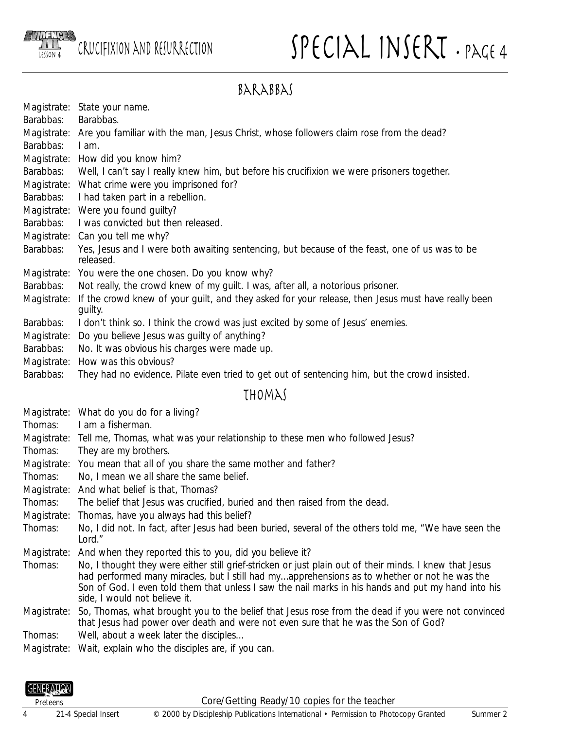# $\frac{1}{\sqrt{101}}$  CRUCIFIXION AND RESURRECTION SPECIAL INSERT • PAGE 4

### Barabbas

| Magistrate: | State your name.                                                                                              |
|-------------|---------------------------------------------------------------------------------------------------------------|
| Barabbas:   | Barabbas.                                                                                                     |
| Magistrate: | Are you familiar with the man, Jesus Christ, whose followers claim rose from the dead?                        |
| Barabbas:   | I am.                                                                                                         |
| Magistrate: | How did you know him?                                                                                         |
| Barabbas:   | Well, I can't say I really knew him, but before his crucifixion we were prisoners together.                   |
| Magistrate: | What crime were you imprisoned for?                                                                           |
| Barabbas:   | I had taken part in a rebellion.                                                                              |
| Magistrate: | Were you found guilty?                                                                                        |
| Barabbas:   | I was convicted but then released.                                                                            |
| Magistrate: | Can you tell me why?                                                                                          |
| Barabbas:   | Yes, Jesus and I were both awaiting sentencing, but because of the feast, one of us was to be<br>released.    |
| Magistrate: | You were the one chosen. Do you know why?                                                                     |
| Barabbas:   | Not really, the crowd knew of my guilt. I was, after all, a notorious prisoner.                               |
| Magistrate: | If the crowd knew of your guilt, and they asked for your release, then Jesus must have really been<br>guilty. |
| Barabbas:   | I don't think so. I think the crowd was just excited by some of Jesus' enemies.                               |
| Magistrate: | Do you believe Jesus was guilty of anything?                                                                  |
| Barabbas:   | No. It was obvious his charges were made up.                                                                  |
| Magistrate: | How was this obvious?                                                                                         |
| Barabbas:   | They had no evidence. Pilate even tried to get out of sentencing him, but the crowd insisted.                 |
|             | $- \cdot \cdot \cdot$                                                                                         |

#### Thomas

|             | Magistrate: What do you do for a living?                                                                                                                                                                                                                                                                                                        |
|-------------|-------------------------------------------------------------------------------------------------------------------------------------------------------------------------------------------------------------------------------------------------------------------------------------------------------------------------------------------------|
| Thomas:     | I am a fisherman.                                                                                                                                                                                                                                                                                                                               |
|             | Magistrate: Tell me, Thomas, what was your relationship to these men who followed Jesus?                                                                                                                                                                                                                                                        |
| Thomas:     | They are my brothers.                                                                                                                                                                                                                                                                                                                           |
| Magistrate: | You mean that all of you share the same mother and father?                                                                                                                                                                                                                                                                                      |
| Thomas:     | No, I mean we all share the same belief.                                                                                                                                                                                                                                                                                                        |
|             | Magistrate: And what belief is that, Thomas?                                                                                                                                                                                                                                                                                                    |
| Thomas:     | The belief that Jesus was crucified, buried and then raised from the dead.                                                                                                                                                                                                                                                                      |
| Magistrate: | Thomas, have you always had this belief?                                                                                                                                                                                                                                                                                                        |
| Thomas:     | No, I did not. In fact, after Jesus had been buried, several of the others told me, "We have seen the<br>Lord."                                                                                                                                                                                                                                 |
| Magistrate: | And when they reported this to you, did you believe it?                                                                                                                                                                                                                                                                                         |
| Thomas:     | No, I thought they were either still grief-stricken or just plain out of their minds. I knew that Jesus<br>had performed many miracles, but I still had myapprehensions as to whether or not he was the<br>Son of God. I even told them that unless I saw the nail marks in his hands and put my hand into his<br>side, I would not believe it. |
|             | Magistrate: So, Thomas, what brought you to the belief that Jesus rose from the dead if you were not convinced<br>that Jesus had power over death and were not even sure that he was the Son of God?                                                                                                                                            |
| Thomas:     | Well, about a week later the disciples                                                                                                                                                                                                                                                                                                          |
|             |                                                                                                                                                                                                                                                                                                                                                 |

Magistrate: Wait, explain who the disciples are, if you can.

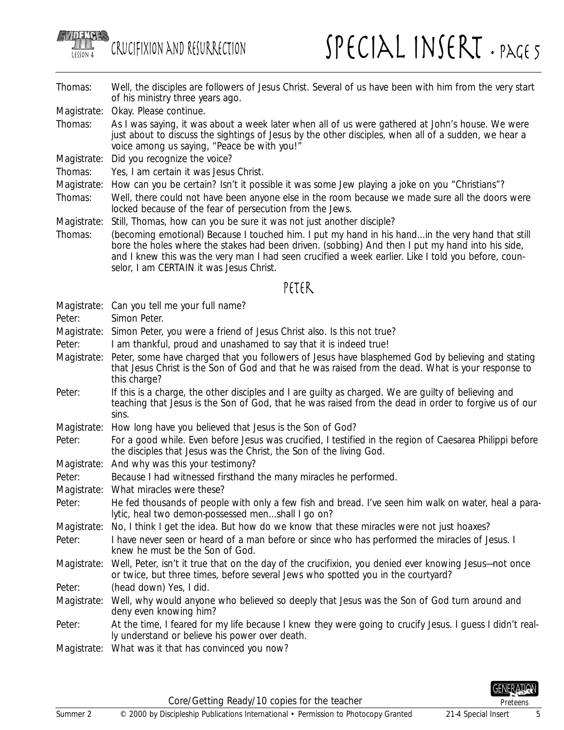#### EATENT **THUS** CRUCIFIXION AND RESURRECTION

Thomas: Well, the disciples are followers of Jesus Christ. Several of us have been with him from the very start of his ministry three years ago.

Magistrate: Okay. Please continue.

- Thomas: As I was saying, it was about a week later when all of us were gathered at John's house. We were just about to discuss the sightings of Jesus by the other disciples, when all of a sudden, we hear a voice among us saying, "Peace be with you!"
- Magistrate: Did you recognize the voice?
- Thomas: Yes, I am certain it was Jesus Christ.
- Magistrate: How can you be certain? Isn't it possible it was some Jew playing a joke on you "Christians"?
- Thomas: Well, there could not have been anyone else in the room because we made sure all the doors were locked because of the fear of persecution from the Jews.
- Magistrate: Still, Thomas, how can you be sure it was not just another disciple?
- Thomas: (becoming emotional) Because I touched him. I put my hand in his hand...in the very hand that still bore the holes where the stakes had been driven. (sobbing) And then I put my hand into his side, and I knew this was the very man I had seen crucified a week earlier. Like I told you before, counselor, I am CERTAIN it was Jesus Christ.

#### Peter

| Magistrate: Can you tell me your full name? |  |  |
|---------------------------------------------|--|--|
|                                             |  |  |

Peter: Simon Peter.

Magistrate: Simon Peter, you were a friend of Jesus Christ also. Is this not true?

- Peter: I am thankful, proud and unashamed to say that it is indeed true!
- Magistrate: Peter, some have charged that you followers of Jesus have blasphemed God by believing and stating that Jesus Christ is the Son of God and that he was raised from the dead. What is your response to this charge?
- Peter: If this is a charge, the other disciples and I are guilty as charged. We are guilty of believing and teaching that Jesus is the Son of God, that he was raised from the dead in order to forgive us of our sins.
- Magistrate: How long have you believed that Jesus is the Son of God?
- Peter: For a good while. Even before Jesus was crucified, I testified in the region of Caesarea Philippi before the disciples that Jesus was the Christ, the Son of the living God.
- Magistrate: And why was this your testimony?

Peter: Because I had witnessed firsthand the many miracles he performed.

Magistrate: What miracles were these?

Peter: He fed thousands of people with only a few fish and bread. I've seen him walk on water, heal a paralytic, heal two demon-possessed men...shall I go on?

Magistrate: No, I think I get the idea. But how do we know that these miracles were not just hoaxes?

- Peter: I have never seen or heard of a man before or since who has performed the miracles of Jesus. I knew he must be the Son of God.
- Magistrate: Well, Peter, isn't it true that on the day of the crucifixion, you denied ever knowing Jesus—not once or twice, but three times, before several Jews who spotted you in the courtyard?

Peter: (head down) Yes, I did.

Magistrate: Well, why would anyone who believed so deeply that Jesus was the Son of God turn around and deny even knowing him?

- Peter: At the time, I feared for my life because I knew they were going to crucify Jesus. I guess I didn't really understand or believe his power over death.
- Magistrate: What was it that has convinced you now?

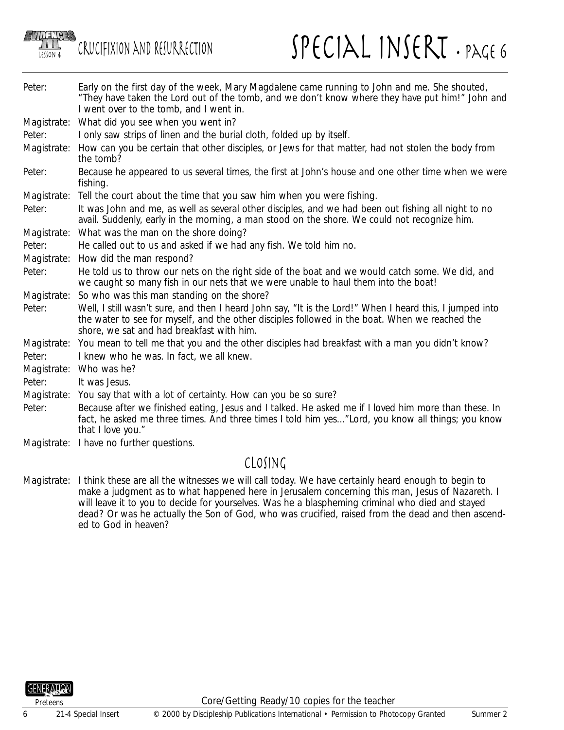EATENT

# LESSON 4 CRUCIFIXION AND RESURRECTION SPECIAL INSERT • PAGE 6

| Peter:      | Early on the first day of the week, Mary Magdalene came running to John and me. She shouted,<br>"They have taken the Lord out of the tomb, and we don't know where they have put him!" John and<br>I went over to the tomb, and I went in.              |  |
|-------------|---------------------------------------------------------------------------------------------------------------------------------------------------------------------------------------------------------------------------------------------------------|--|
|             | Magistrate: What did you see when you went in?                                                                                                                                                                                                          |  |
| Peter:      | I only saw strips of linen and the burial cloth, folded up by itself.                                                                                                                                                                                   |  |
| Magistrate: | How can you be certain that other disciples, or Jews for that matter, had not stolen the body from<br>the tomb?                                                                                                                                         |  |
| Peter:      | Because he appeared to us several times, the first at John's house and one other time when we were<br>fishing.                                                                                                                                          |  |
| Magistrate: | Tell the court about the time that you saw him when you were fishing.                                                                                                                                                                                   |  |
| Peter:      | It was John and me, as well as several other disciples, and we had been out fishing all night to no<br>avail. Suddenly, early in the morning, a man stood on the shore. We could not recognize him.                                                     |  |
| Magistrate: | What was the man on the shore doing?                                                                                                                                                                                                                    |  |
| Peter:      | He called out to us and asked if we had any fish. We told him no.                                                                                                                                                                                       |  |
| Magistrate: | How did the man respond?                                                                                                                                                                                                                                |  |
| Peter:      | He told us to throw our nets on the right side of the boat and we would catch some. We did, and<br>we caught so many fish in our nets that we were unable to haul them into the boat!                                                                   |  |
| Magistrate: | So who was this man standing on the shore?                                                                                                                                                                                                              |  |
| Peter:      | Well, I still wasn't sure, and then I heard John say, "It is the Lord!" When I heard this, I jumped into<br>the water to see for myself, and the other disciples followed in the boat. When we reached the<br>shore, we sat and had breakfast with him. |  |
|             | Magistrate: You mean to tell me that you and the other disciples had breakfast with a man you didn't know?                                                                                                                                              |  |
| Peter:      | I knew who he was. In fact, we all knew.                                                                                                                                                                                                                |  |
|             | Magistrate: Who was he?                                                                                                                                                                                                                                 |  |
| Peter:      | It was Jesus.                                                                                                                                                                                                                                           |  |
| Magistrate: | You say that with a lot of certainty. How can you be so sure?                                                                                                                                                                                           |  |
| Peter:      | Because after we finished eating, Jesus and I talked. He asked me if I loved him more than these. In<br>fact, he asked me three times. And three times I told him yes"Lord, you know all things; you know<br>that I love you."                          |  |
|             | Magistrate: I have no further questions.                                                                                                                                                                                                                |  |
| CLOSING     |                                                                                                                                                                                                                                                         |  |

Magistrate: I think these are all the witnesses we will call today. We have certainly heard enough to begin to make a judgment as to what happened here in Jerusalem concerning this man, Jesus of Nazareth. I will leave it to you to decide for yourselves. Was he a blaspheming criminal who died and stayed dead? Or was he actually the Son of God, who was crucified, raised from the dead and then ascended to God in heaven?



Core/Getting Ready/10 copies for the teacher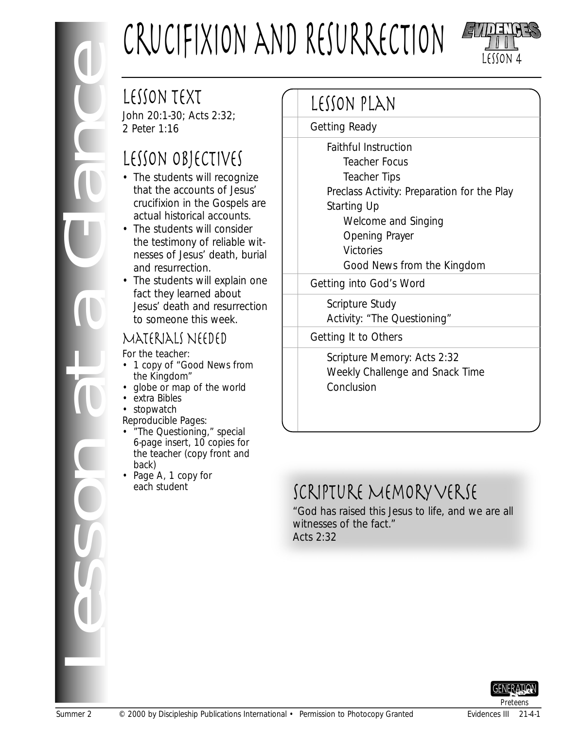# Crucifixion and Resurrection



# Lesson Text

John 20:1-30; Acts 2:32; 2 Peter 1:16

# Lesson Objectives

- The students will recognize that the accounts of Jesus' crucifixion in the Gospels are actual historical accounts.
- The students will consider the testimony of reliable witnesses of Jesus' death, burial and resurrection.
- The students will explain one fact they learned about Jesus' death and resurrection to someone this week.

### Materials Needed

*For the teacher:*

- 1 copy of "Good News from the Kingdom"
- globe or map of the world
- extra Bibles
- stopwatch

*Reproducible Pages:*

- "The Questioning," special 6-page insert, 10 copies for the teacher (copy front and back)
- Page A, 1 copy for each student

# Lesson Plan

*Getting Ready*

Faithful Instruction Teacher Focus Teacher Tips Preclass Activity: Preparation for the Play Starting Up Welcome and Singing Opening Prayer Victories Good News from the Kingdom

*Getting into God's Word* 

Scripture Study Activity: "The Questioning"

*Getting It to Others*

Scripture Memory: Acts 2:32 Weekly Challenge and Snack Time Conclusion

# Scripture Memory Verse

"God has raised this Jesus to life, and we are all witnesses of the fact." Acts 2:32

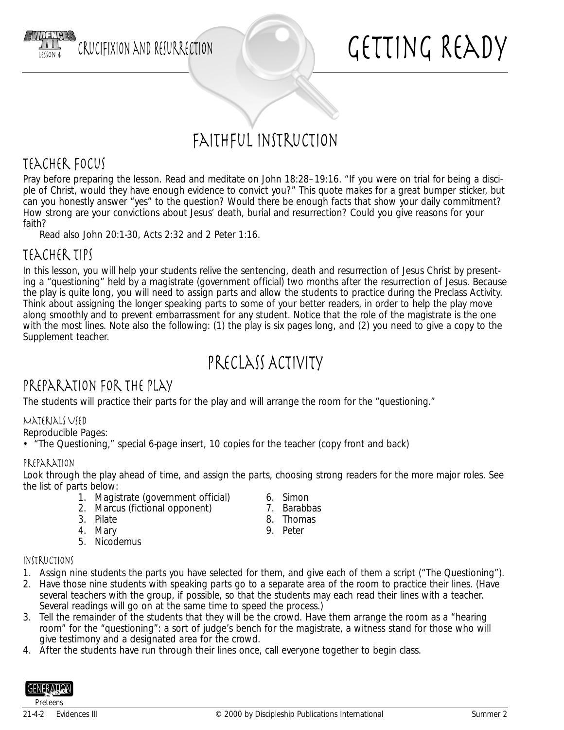

# CRUCIFIXION AND RESURRECTION  $GETTING READY$

# Faithful Instruction

### Teacher Focus

Pray before preparing the lesson. Read and meditate on John 18:28–19:16. "If you were on trial for being a disciple of Christ, would they have enough evidence to convict you?" This quote makes for a great bumper sticker, but can you honestly answer "yes" to the question? Would there be enough facts that show your daily commitment? How strong are your convictions about Jesus' death, burial and resurrection? Could you give reasons for your faith?

Read also John 20:1-30, Acts 2:32 and 2 Peter 1:16.

### Teacher Tips

In this lesson, you will help your students relive the sentencing, death and resurrection of Jesus Christ by presenting a "questioning" held by a magistrate (government official) two months after the resurrection of Jesus. Because the play is quite long, you will need to assign parts and allow the students to practice during the Preclass Activity. Think about assigning the longer speaking parts to some of your better readers, in order to help the play move along smoothly and to prevent embarrassment for any student. Notice that the role of the magistrate is the one with the most lines. Note also the following: (1) the play is six pages long, and (2) you need to give a copy to the Supplement teacher.

## PRECLASS ACTIVITY

### Preparation for the Play

The students will practice their parts for the play and will arrange the room for the "questioning."

#### Materials Used

*Reproducible Pages:*

• "The Questioning," special 6-page insert, 10 copies for the teacher (copy front and back)

#### Preparation

Look through the play ahead of time, and assign the parts, choosing strong readers for the more major roles. See the list of parts below:

- 1. Magistrate (government official) a a b 6. Simon<br>2. Marcus (fictional opponent) 2. Barabbas 2. Marcus (fictional opponent)<br>3. Pilate
	-
	-
	-
- 
- 4. Mary 5. Nicodemus
- Instructions
- 1. Assign nine students the parts you have selected for them, and give each of them a script ("The Questioning"). 2. Have those nine students with speaking parts go to a separate area of the room to practice their lines. (Have several teachers with the group, if possible, so that the students may each read their lines with a teacher.
- Several readings will go on at the same time to speed the process.)
- 3. Tell the remainder of the students that they will be the crowd. Have them arrange the room as a "hearing room" for the "questioning": a sort of judge's bench for the magistrate, a witness stand for those who will give testimony and a designated area for the crowd.
- 4. After the students have run through their lines once, call everyone together to begin class.



- 
- 
- 8. Thomas<br>9. Peter
-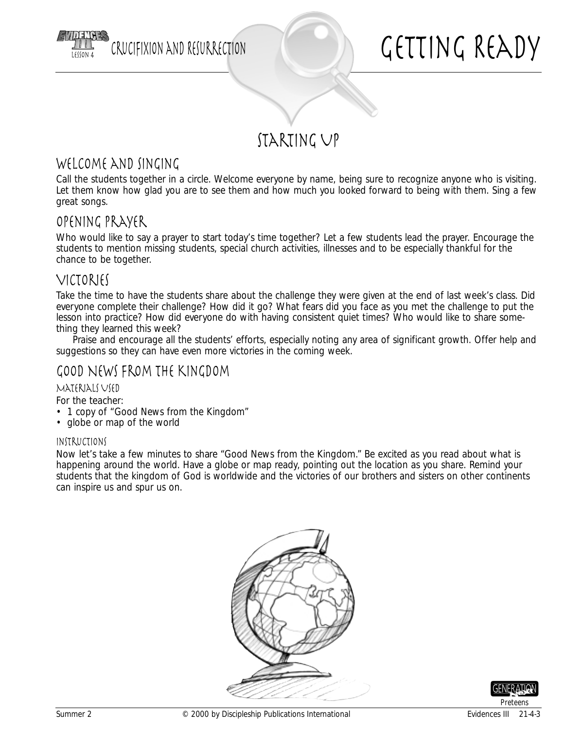

# CRUCIFIXION AND RESURRECTION  $G$   $G$   $G$  $T$  $N$  $G$   $R$  $G$  $D$  $Y$

## STARTING UP

#### WELCOME AND SINGING

Call the students together in a circle. Welcome everyone by name, being sure to recognize anyone who is visiting. Let them know how glad you are to see them and how much you looked forward to being with them. Sing a few great songs.

### Opening Prayer

*Who would like to say a prayer to start today's time together?* Let a few students lead the prayer. Encourage the students to mention missing students, special church activities, illnesses and to be especially thankful for the chance to be together.

### Victories

Take the time to have the students share about the challenge they were given at the end of last week's class. *Did everyone complete their challenge? How did it go? What fears did you face as you met the challenge to put the lesson into practice? How did everyone do with having consistent quiet times? Who would like to share something they learned this week?*

Praise and encourage all the students' efforts, especially noting any area of significant growth. Offer help and suggestions so they can have even more victories in the coming week.

#### Good News from the Kingdom

#### Materials Used

*For the teacher:*

- 1 copy of "Good News from the Kingdom"
- globe or map of the world

#### Instructions

*Now let's take a few minutes to share "Good News from the Kingdom."* Be excited as you read about what is happening around the world. Have a globe or map ready, pointing out the location as you share. Remind your students that the kingdom of God is worldwide and the victories of our brothers and sisters on other continents can inspire us and spur us on.



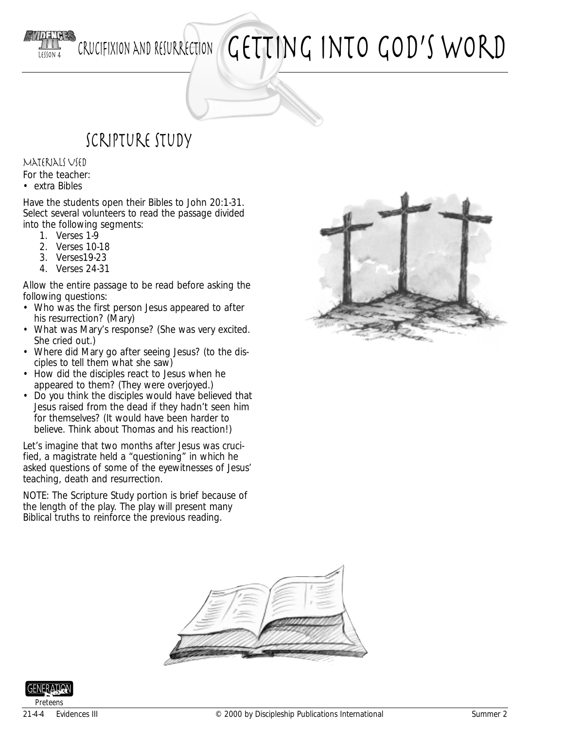mana.  $L$ <sub>E</sub>sson 4

# CRUCIFIXION AND RESURRECTION GETTING INTO GOD'S WORD

# SCRIPTURE STUDY

#### Materials Used

*For the teacher:*

• extra Bibles

Have the students open their Bibles to John 20:1-31. Select several volunteers to read the passage divided into the following segments:

- 1. Verses 1-9
- 2. Verses 10-18
- 3. Verses19-23
- 4. Verses 24-31

Allow the entire passage to be read before asking the following questions:

- *Who was the first person Jesus appeared to after his resurrection?* (Mary)
- *What was Mary's response?* (She was very excited. She cried out.)
- *Where did Mary go after seeing Jesus?* (to the disciples to tell them what she saw)
- *How did the disciples react to Jesus when he appeared to them?* (They were overjoyed.)
- *Do you think the disciples would have believed that Jesus raised from the dead if they hadn't seen him for themselves?* (It would have been harder to believe. Think about Thomas and his reaction!)

Let's imagine that two months after Jesus was crucified, a magistrate held a "questioning" in which he asked questions of some of the eyewitnesses of Jesus' teaching, death and resurrection.

NOTE: The Scripture Study portion is brief because of the length of the play. The play will present many Biblical truths to reinforce the previous reading.





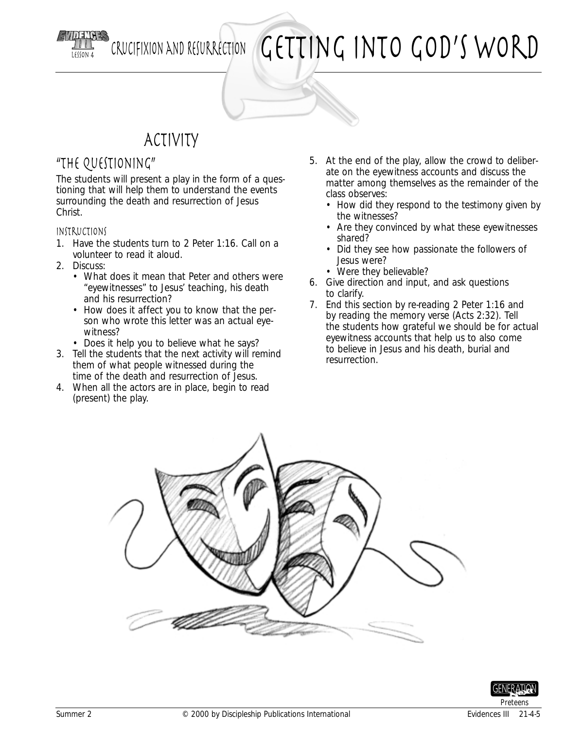Lesson 4

# CRUCIFIXION AND RESURRECTION  $G$  (TTING INTO GOD'S WORD

# Activity

### "The Questioning"

The students will present a play in the form of a questioning that will help them to understand the events surrounding the death and resurrection of Jesus Christ.

#### Instructions

EATEN

- 1. Have the students turn to 2 Peter 1:16. Call on a volunteer to read it aloud.
- 2. Discuss:
	- *What does it mean that Peter and others were "eyewitnesses" to Jesus' teaching, his death and his resurrection?*
	- *How does it affect you to know that the person who wrote this letter was an actual eyewitness?*
	- *Does it help you to believe what he says?*
- 3. Tell the students that the next activity will remind them of what people witnessed during the time of the death and resurrection of Jesus.
- 4. When all the actors are in place, begin to read (present) the play.
- 5. At the end of the play, allow the crowd to deliberate on the eyewitness accounts and discuss the matter among themselves as the remainder of the class observes:
	- How did they respond to the testimony given by the witnesses?
	- Are they convinced by what these eyewitnesses shared?
	- Did they see how passionate the followers of Jesus were?
	- Were they believable?
- 6. Give direction and input, and ask questions to clarify.
- 7. End this section by re-reading 2 Peter 1:16 and by reading the memory verse (Acts 2:32). Tell the students how grateful we should be for actual eyewitness accounts that help us to also come to believe in Jesus and his death, burial and resurrection.



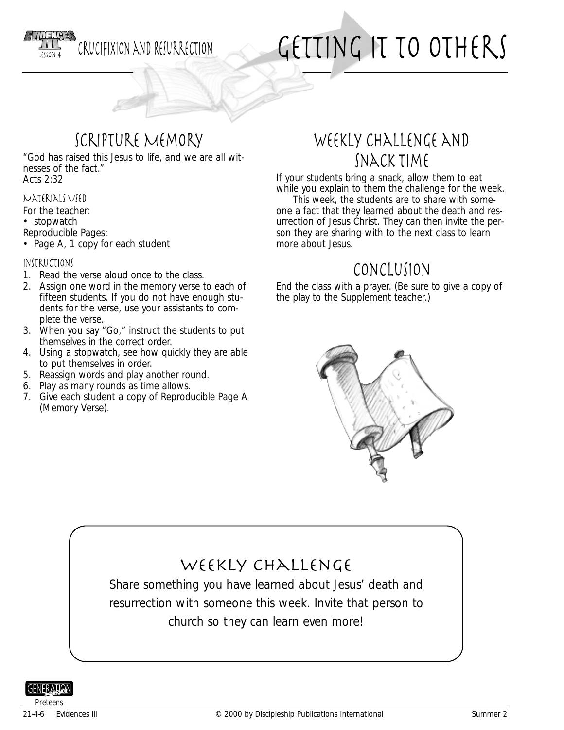

# CRUCIFIXION AND RESURRECTION GETTING IT TO OTHERS

## Scripture Memory

"God has raised this Jesus to life, and we are all witnesses of the fact." Acts 2:32

Materials Used

*For the teacher:*

• stopwatch

*Reproducible Pages:*

• Page A, 1 copy for each student

#### Instructions

- 1. Read the verse aloud once to the class.
- 2. Assign one word in the memory verse to each of fifteen students. If you do not have enough students for the verse, use your assistants to complete the verse.
- 3. When you say "Go," instruct the students to put themselves in the correct order.
- 4. Using a stopwatch, see how quickly they are able to put themselves in order.
- 5. Reassign words and play another round.
- 6. Play as many rounds as time allows.
- 7. Give each student a copy of Reproducible Page A (Memory Verse).

## WEEKLY CHALLENGE AND Snack Time

If your students bring a snack, allow them to eat while you explain to them the challenge for the week.

This week, the students are to share with someone a fact that they learned about the death and resurrection of Jesus Christ. They can then invite the person they are sharing with to the next class to learn more about Jesus.

## CONCLUSION

End the class with a prayer. (Be sure to give a copy of the play to the Supplement teacher.)



### WEEKLY CHALLENGE

Share something you have learned about Jesus' death and resurrection with someone this week. Invite that person to church so they can learn even more!

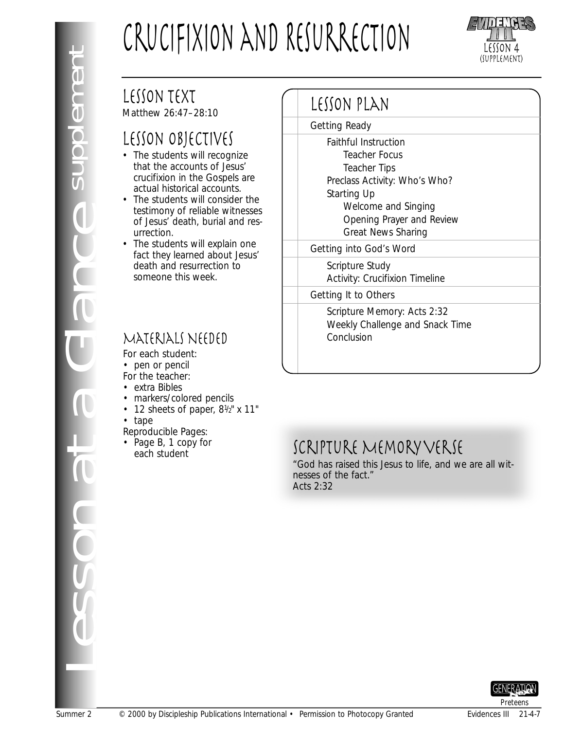# Crucifixion and Resurrection



## Lesson Text

Matthew 26:47–28:10

## Lesson Objectives

- The students will recognize that the accounts of Jesus' crucifixion in the Gospels are actual historical accounts.
- The students will consider the testimony of reliable witnesses of Jesus' death, burial and resurrection.
- The students will explain one fact they learned about Jesus' death and resurrection to someone this week.

### Materials Needed

*For each student:* • pen or pencil *For the teacher:*

- extra Bibles
- markers/colored pencils
- 12 sheets of paper,  $8\frac{1}{2}$ " x 11"
- tape
- *Reproducible Pages:*
- Page B, 1 copy for each student

## Lesson Plan

*Getting Ready*

Faithful Instruction Teacher Focus Teacher Tips Preclass Activity: Who's Who? Starting Up Welcome and Singing Opening Prayer and Review Great News Sharing

*Getting into God's Word*

Scripture Study Activity: Crucifixion Timeline

*Getting It to Others*

Scripture Memory: Acts 2:32 Weekly Challenge and Snack Time Conclusion

# Scripture Memory Verse

"God has raised this Jesus to life, and we are all witnesses of the fact." Acts 2:32

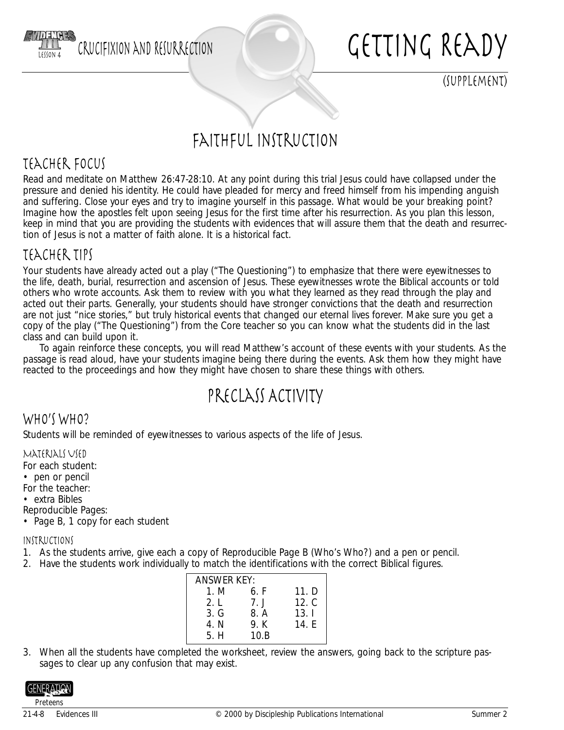

# CRUCIFIXION AND RESURRECTION  $GETTING READY$

(supplement)

# Faithful Instruction

### Teacher Focus

Read and meditate on Matthew 26:47-28:10. At any point during this trial Jesus could have collapsed under the pressure and denied his identity. He could have pleaded for mercy and freed himself from his impending anguish and suffering. Close your eyes and try to imagine yourself in this passage. What would be your breaking point? Imagine how the apostles felt upon seeing Jesus for the first time after his resurrection. As you plan this lesson, keep in mind that you are providing the students with evidences that will assure them that the death and resurrection of Jesus is not a matter of faith alone. It is a historical fact.

### Teacher Tips

Your students have already acted out a play ("The Questioning") to emphasize that there were eyewitnesses to the life, death, burial, resurrection and ascension of Jesus. These eyewitnesses wrote the Biblical accounts or told others who wrote accounts. Ask them to review with you what they learned as they read through the play and acted out their parts. Generally, your students should have stronger convictions that the death and resurrection are not just "nice stories," but truly historical events that changed our eternal lives forever. Make sure you get a copy of the play ("The Questioning") from the Core teacher so you can know what the students did in the last class and can build upon it.

To again reinforce these concepts, you will read Matthew's account of these events with your students. As the passage is read aloud, have your students imagine being there during the events. Ask them how they might have reacted to the proceedings and how they might have chosen to share these things with others.

# PRECLASS ACTIVITY

### WHO'S WHO?

Students will be reminded of eyewitnesses to various aspects of the life of Jesus.

Materials Used *For each student:* • pen or pencil *For the teacher:* • extra Bibles *Reproducible Pages:* • Page B, 1 copy for each student

#### INSTRUCTIONS

- 1. As the students arrive, give each a copy of Reproducible Page B (Who's Who?) and a pen or pencil.
- 2. Have the students work individually to match the identifications with the correct Biblical figures.

| <b>ANSWER KEY:</b> |      |       |  |
|--------------------|------|-------|--|
| 1. M               | 6. F | 11. D |  |
| 2. L               | 7.1  | 12. C |  |
| 3. G               | 8. A | 13.1  |  |
| 4. N               | 9. K | 14.E  |  |
| 5. H               | 10.B |       |  |

3. When all the students have completed the worksheet, review the answers, going back to the scripture passages to clear up any confusion that may exist.

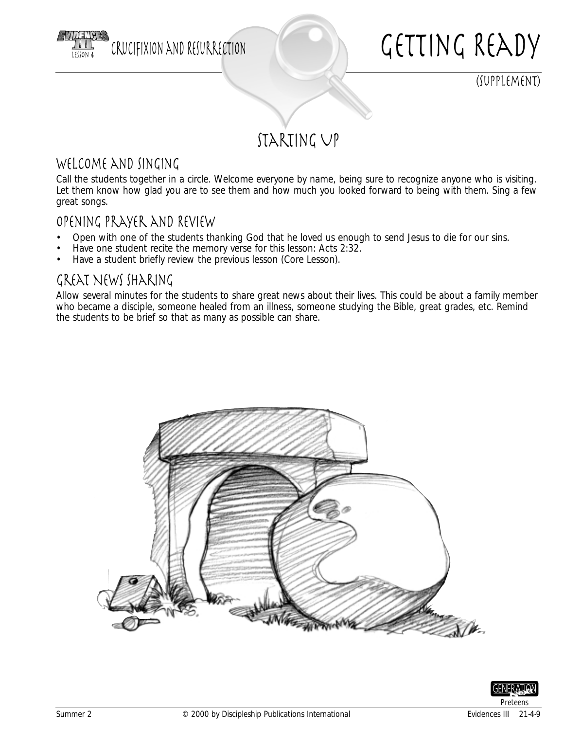

# CRUCIFIXION AND RESURRECTION  $GETTING READY$

(supplement)

STARTING UP

#### WELCOME AND SINGING

Call the students together in a circle. Welcome everyone by name, being sure to recognize anyone who is visiting. Let them know how glad you are to see them and how much you looked forward to being with them. Sing a few great songs.

#### Opening Prayer and Review

- Open with one of the students thanking God that he loved us enough to send Jesus to die for our sins.
- Have one student recite the memory verse for this lesson: Acts 2:32.
- Have a student briefly review the previous lesson (Core Lesson).

### Great News Sharing

Allow several minutes for the students to share great news about their lives. This could be about a family member who became a disciple, someone healed from an illness, someone studying the Bible, great grades, etc. Remind the students to be brief so that as many as possible can share.



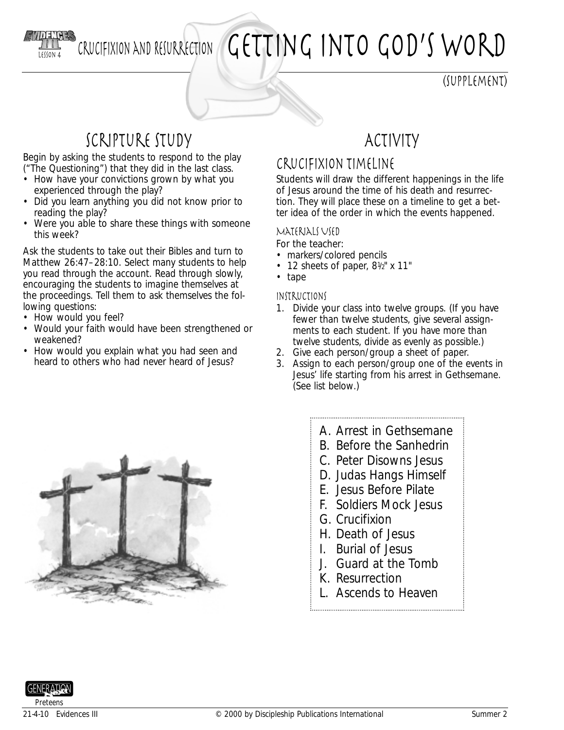$L$ <sub>E</sub>sson 4

# CRUCIFIXION AND RESURRECTION GETTING INTO GOD'S WORD

(supplement)

# SCRIPTURE STUDY

Begin by asking the students to respond to the play ("The Questioning") that they did in the last class.

- *How have your convictions grown by what you experienced through the play?*
- *Did you learn anything you did not know prior to reading the play?*
- *Were you able to share these things with someone this week?*

Ask the students to take out their Bibles and turn to Matthew 26:47–28:10. Select many students to help you read through the account. Read through slowly, encouraging the students to imagine themselves at the proceedings. Tell them to ask themselves the following questions:

- *How would you feel?*
- *Would your faith would have been strengthened or weakened?*
- *How would you explain what you had seen and heard to others who had never heard of Jesus?*

# Activity

### Crucifixion Timeline

Students will draw the different happenings in the life of Jesus around the time of his death and resurrection. They will place these on a timeline to get a better idea of the order in which the events happened.

#### Materials Used

*For the teacher:*

- markers/colored pencils
- 12 sheets of paper,  $8\frac{1}{2}$ " x 11"
- tape

#### Instructions

- 1. Divide your class into twelve groups. (If you have fewer than twelve students, give several assignments to each student. If you have more than twelve students, divide as evenly as possible.)
- 2. Give each person/group a sheet of paper.
- 3. Assign to each person/group one of the events in Jesus' life starting from his arrest in Gethsemane. (See list below.)



- A. Arrest in Gethsemane
- B. Before the Sanhedrin
- C. Peter Disowns Jesus
- D. Judas Hangs Himself
- E. Jesus Before Pilate
- F. Soldiers Mock Jesus
- G. Crucifixion
- H. Death of Jesus
- I. Burial of Jesus
- J. Guard at the Tomb
- K. Resurrection
- L. Ascends to Heaven

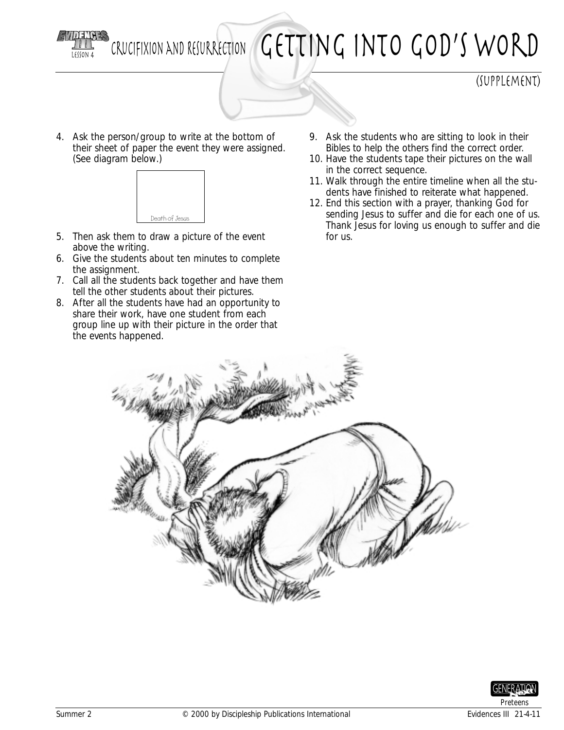# CRUCIFIXION AND RESURRECTION GETTING INTO GOD'S WORD

(supplement)

4. Ask the person/group to write at the bottom of their sheet of paper the event they were assigned. (See diagram below.)

Lesson 4



- 5. Then ask them to draw a picture of the event above the writing.
- 6. Give the students about ten minutes to complete the assignment.
- 7. Call all the students back together and have them tell the other students about their pictures.
- 8. After all the students have had an opportunity to share their work, have one student from each group line up with their picture in the order that the events happened.
- 9. Ask the students who are sitting to look in their Bibles to help the others find the correct order.
- 10. Have the students tape their pictures on the wall in the correct sequence.
- 11. Walk through the entire timeline when all the students have finished to reiterate what happened.
- 12. End this section with a prayer, thanking God for sending Jesus to suffer and die for each one of us. Thank Jesus for loving us enough to suffer and die for us.



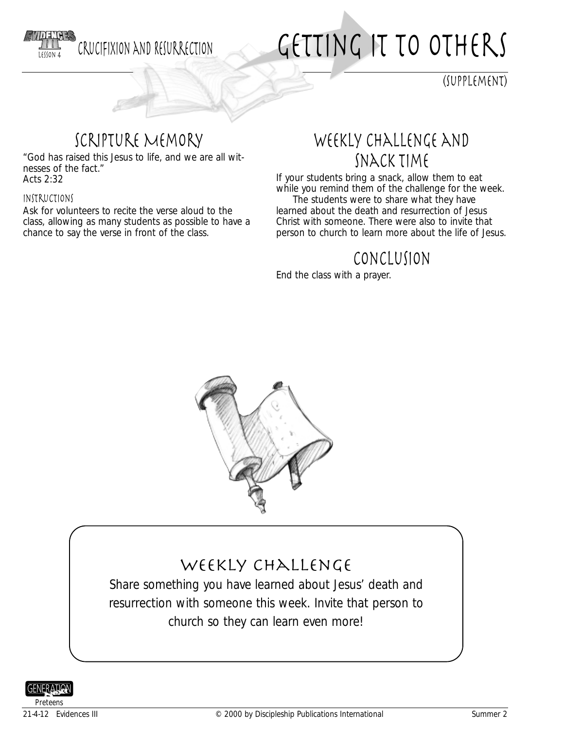

# CRUCIFIXION AND RESURRECTION GETTING IT TO OTHERS

### (supplement)

## Scripture Memory

"God has raised this Jesus to life, and we are all witnesses of the fact." Acts 2:32

#### Instructions

Ask for volunteers to recite the verse aloud to the class, allowing as many students as possible to have a chance to say the verse in front of the class.

## WEEKLY CHALLENGE AND Snack Time

If your students bring a snack, allow them to eat while you remind them of the challenge for the week. The students were to share what they have learned about the death and resurrection of Jesus Christ with someone. There were also to invite that person to church to learn more about the life of Jesus.

## Conclusion

End the class with a prayer.



### WEEKLY CHALLENGE

Share something you have learned about Jesus' death and resurrection with someone this week. Invite that person to church so they can learn even more!

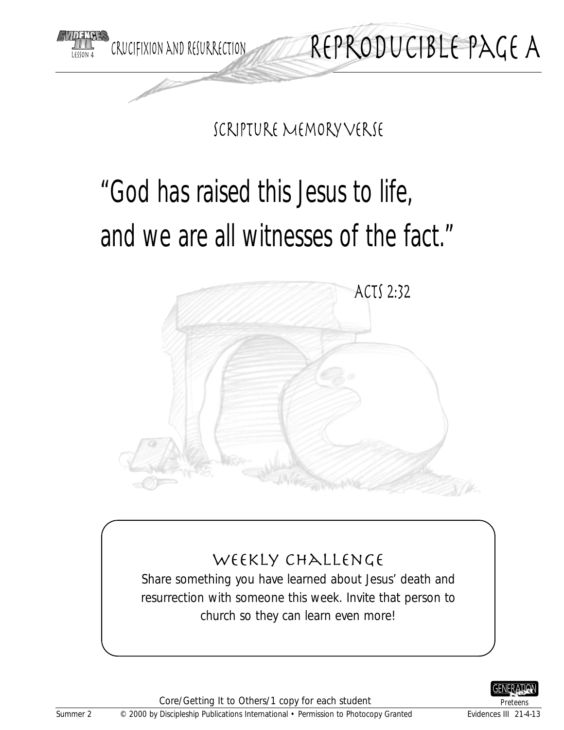

# Scripture Memory Verse

Reproducible page A

# "God has raised this Jesus to life, and we are all witnesses of the fact."



## WEEKLY CHALLENGE

Share something you have learned about Jesus' death and resurrection with someone this week. Invite that person to church so they can learn even more!



Core/Getting It to Others/1 copy for each student

Summer 2 <sup>©</sup> 2000 by Discipleship Publications International • Permission to Photocopy Granted Evidences III 21-4-13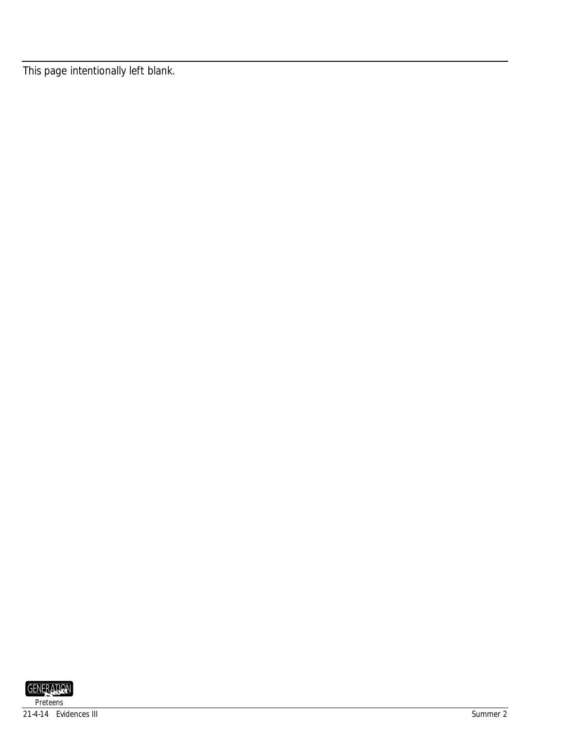This page intentionally left blank.